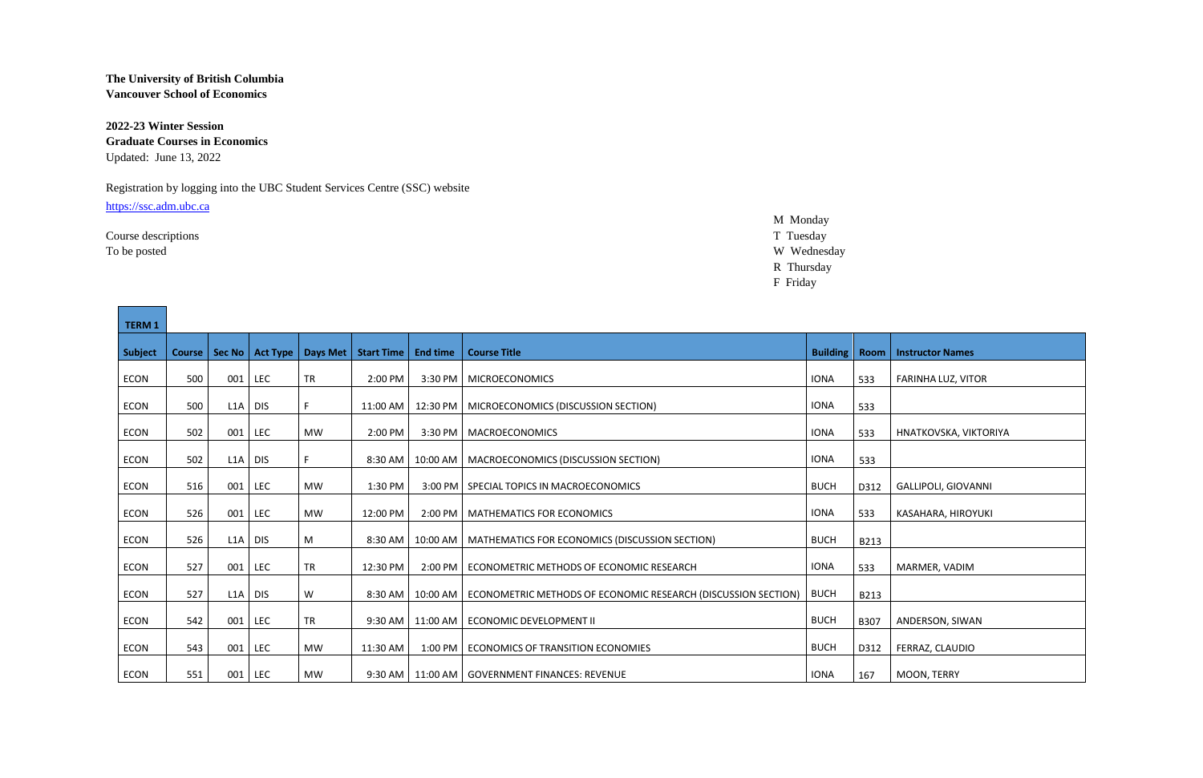## **The University of British Columbia Vancouver School of Economics**

**2022-23 Winter Session Graduate Courses in Economics** Updated: June 13, 2022

## Registration by logging into the UBC Student Services Centre (SSC) website

[https://ssc.adm.ubc.ca](https://ssc.adm.ubc.ca/)

M Monday Course descriptions T Tuesday To be posted W Wednesday R Thursday

F Friday

| <b>TERM 1</b>  |     |           |                            |           |                   |                 |                                                                          |                 |             |                         |
|----------------|-----|-----------|----------------------------|-----------|-------------------|-----------------|--------------------------------------------------------------------------|-----------------|-------------|-------------------------|
| <b>Subject</b> |     |           | Course   Sec No   Act Type | Days Met  | <b>Start Time</b> | <b>End time</b> | <b>Course Title</b>                                                      | <b>Building</b> | <b>Room</b> | <b>Instructor Names</b> |
| ECON           | 500 | 001       | <b>LEC</b>                 | <b>TR</b> | 2:00 PM           |                 | 3:30 PM   MICROECONOMICS                                                 | <b>IONA</b>     | 533         | FARINHA LUZ, VITOR      |
| ECON           | 500 | $LIA$ DIS |                            | F         | 11:00 AM          | 12:30 PM        | MICROECONOMICS (DISCUSSION SECTION)                                      | <b>IONA</b>     | 533         |                         |
| ECON           | 502 | 001       | LEC                        | MW        | 2:00 PM           |                 | 3:30 PM   MACROECONOMICS                                                 | <b>IONA</b>     | 533         | HNATKOVSKA, VIKTORIYA   |
| ECON           | 502 | L1A       | <b>DIS</b>                 | F.        | 8:30 AM           | 10:00 AM        | MACROECONOMICS (DISCUSSION SECTION)                                      | <b>IONA</b>     | 533         |                         |
| ECON           | 516 | 001       | <b>LEC</b>                 | <b>MW</b> | 1:30 PM           |                 | 3:00 PM   SPECIAL TOPICS IN MACROECONOMICS                               | <b>BUCH</b>     | D312        | GALLIPOLI, GIOVANNI     |
| ECON           | 526 | 001       | <b>LEC</b>                 | <b>MW</b> | 12:00 PM          |                 | 2:00 PM   MATHEMATICS FOR ECONOMICS                                      | <b>IONA</b>     | 533         | KASAHARA, HIROYUKI      |
| ECON           | 526 | L1A       | <b>DIS</b>                 | M         | 8:30 AM           | 10:00 AM        | MATHEMATICS FOR ECONOMICS (DISCUSSION SECTION)                           | <b>BUCH</b>     | B213        |                         |
| ECON           | 527 | 001       | LEC                        | <b>TR</b> | 12:30 PM          | 2:00 PM         | ECONOMETRIC METHODS OF ECONOMIC RESEARCH                                 | <b>IONA</b>     | 533         | MARMER, VADIM           |
| ECON           | 527 | $LIA$ DIS |                            | W         | 8:30 AM           |                 | 10:00 AM   ECONOMETRIC METHODS OF ECONOMIC RESEARCH (DISCUSSION SECTION) | <b>BUCH</b>     | B213        |                         |
| ECON           | 542 | 001       | <b>LEC</b>                 | <b>TR</b> | 9:30 AM           | 11:00 AM        | ECONOMIC DEVELOPMENT II                                                  | <b>BUCH</b>     | B307        | ANDERSON, SIWAN         |
| ECON           | 543 | 001       | LEC                        | <b>MW</b> | 11:30 AM          | 1:00 PM         | ECONOMICS OF TRANSITION ECONOMIES                                        | <b>BUCH</b>     | D312        | FERRAZ, CLAUDIO         |
| ECON           | 551 | 001       | LEC                        | MW        | 9:30 AM           |                 | 11:00 AM   GOVERNMENT FINANCES: REVENUE                                  | <b>IONA</b>     | 167         | MOON, TERRY             |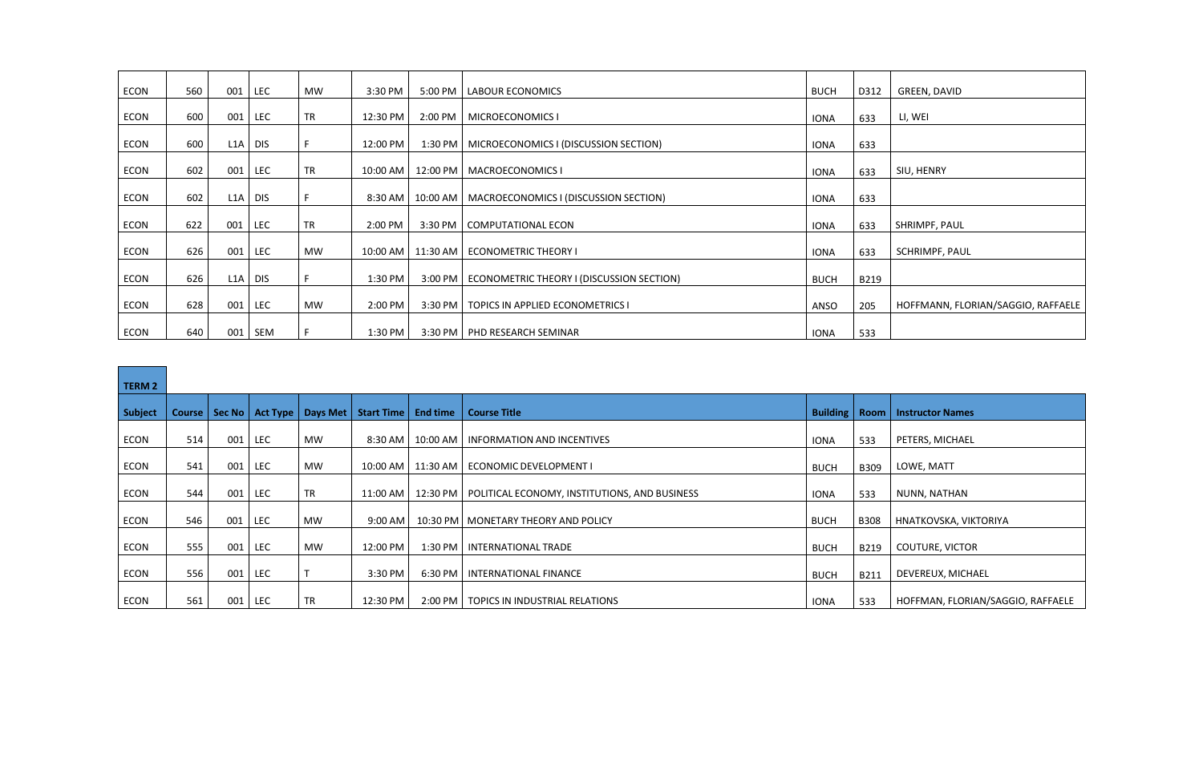| ECON | 560 | 001<br>LEC        | MW        | 3:30 PM  | 5:00 PM  | <b>LABOUR ECONOMICS</b>                             | <b>BUCH</b> | D312 | GREEN, DAVID                       |
|------|-----|-------------------|-----------|----------|----------|-----------------------------------------------------|-------------|------|------------------------------------|
| ECON | 600 | 001<br><b>LEC</b> | <b>TR</b> | 12:30 PM | 2:00 PM  | MICROECONOMICS I                                    |             |      | LI, WEI                            |
|      |     |                   |           |          |          |                                                     | <b>IONA</b> | 633  |                                    |
| ECON | 600 | L1A<br><b>DIS</b> | F.        | 12:00 PM |          | 1:30 PM   MICROECONOMICS I (DISCUSSION SECTION)     | <b>IONA</b> | 633  |                                    |
| ECON | 602 | 001<br><b>LEC</b> | <b>TR</b> | 10:00 AM | 12:00 PM | <b>MACROECONOMICS I</b>                             | <b>IONA</b> | 633  | SIU, HENRY                         |
| ECON | 602 | L1A<br><b>DIS</b> | F         | 8:30 AM  | 10:00 AM | MACROECONOMICS I (DISCUSSION SECTION)               | <b>IONA</b> | 633  |                                    |
| ECON | 622 | 001<br><b>LEC</b> | <b>TR</b> | 2:00 PM  | 3:30 PM  | COMPUTATIONAL ECON                                  | <b>IONA</b> | 633  | SHRIMPF, PAUL                      |
| ECON | 626 | 001<br><b>LEC</b> | <b>MW</b> | 10:00 AM | 11:30 AM | <b>ECONOMETRIC THEORY I</b>                         | <b>IONA</b> | 633  | SCHRIMPF, PAUL                     |
| ECON | 626 | L1A<br><b>DIS</b> | F.        | 1:30 PM  |          | 3:00 PM   ECONOMETRIC THEORY I (DISCUSSION SECTION) | <b>BUCH</b> | B219 |                                    |
| ECON | 628 | 001<br><b>LEC</b> | MW        | 2:00 PM  | 3:30 PM  | TOPICS IN APPLIED ECONOMETRICS I                    | ANSO        | 205  | HOFFMANN, FLORIAN/SAGGIO, RAFFAELE |
| ECON | 640 | 001<br>SEM        | F         | 1:30 PM  |          | 3:30 PM   PHD RESEARCH SEMINAR                      | <b>IONA</b> | 533  |                                    |

| TERM 2      |        |        |            |                     |                   |                 |                                               |                 |             |                                   |
|-------------|--------|--------|------------|---------------------|-------------------|-----------------|-----------------------------------------------|-----------------|-------------|-----------------------------------|
| Subject     | Course | Sec No |            | Act Type   Days Met | <b>Start Time</b> | <b>End time</b> | <b>Course Title</b>                           | <b>Building</b> | Room        | <b>Instructor Names</b>           |
| ECON        | 514    | 001    | <b>LEC</b> | MW                  | 8:30 AM           | 10:00 AM        | <b>INFORMATION AND INCENTIVES</b>             | <b>IONA</b>     | 533         | PETERS, MICHAEL                   |
| ECON        | 541    | 001    | <b>LEC</b> | MW                  | $10:00$ AM        | 11:30 AM        | <b>ECONOMIC DEVELOPMENT I</b>                 | <b>BUCH</b>     | B309        | LOWE, MATT                        |
| ECON        | 544    | 001    | <b>LEC</b> | <b>TR</b>           | 11:00 AM          | 12:30 PM        | POLITICAL ECONOMY, INSTITUTIONS, AND BUSINESS | <b>IONA</b>     | 533         | NUNN, NATHAN                      |
| ECON        | 546    | 001    | LEC        | MW                  | 9:00 AM           |                 | 10:30 PM   MONETARY THEORY AND POLICY         | <b>BUCH</b>     | <b>B308</b> | HNATKOVSKA, VIKTORIYA             |
| <b>ECON</b> | 555    | 001    | <b>LEC</b> | <b>MW</b>           | 12:00 PM          | 1:30 PM         | INTERNATIONAL TRADE                           | <b>BUCH</b>     | B219        | <b>COUTURE, VICTOR</b>            |
| <b>ECON</b> | 556    | 001    | <b>LEC</b> |                     | 3:30 PM           | 6:30 PM         | INTERNATIONAL FINANCE                         | <b>BUCH</b>     | B211        | DEVEREUX, MICHAEL                 |
| ECON        | 561    | 001    | <b>LEC</b> | <b>TR</b>           | 12:30 PM          |                 | 2:00 PM   TOPICS IN INDUSTRIAL RELATIONS      | IONA            | 533         | HOFFMAN, FLORIAN/SAGGIO, RAFFAELE |